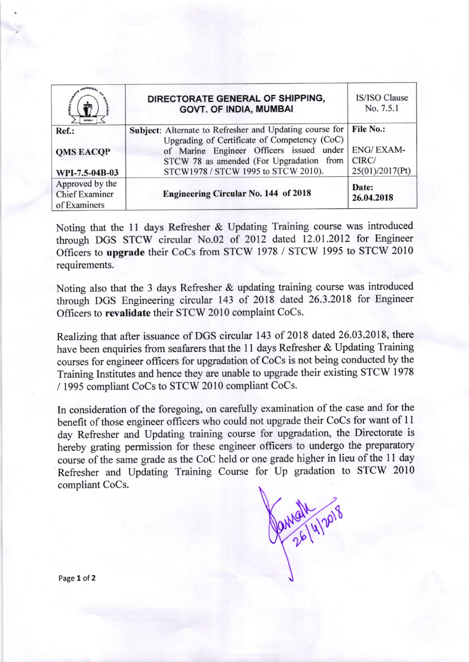|                                                          | DIRECTORATE GENERAL OF SHIPPING,<br><b>GOVT. OF INDIA, MUMBAI</b>                                                                                                                               | IS/ISO Clause<br>No. 7.5.1                    |
|----------------------------------------------------------|-------------------------------------------------------------------------------------------------------------------------------------------------------------------------------------------------|-----------------------------------------------|
| Ref.:<br><b>OMS EACOP</b>                                | Subject: Alternate to Refresher and Updating course for<br>Upgrading of Certificate of Competency (CoC)<br>of Marine Engineer Officers issued under<br>STCW 78 as amended (For Upgradation from | <b>File No.:</b><br><b>ENG/EXAM-</b><br>CIRC/ |
| WPI-7.5-04B-03                                           | STCW1978 / STCW 1995 to STCW 2010).                                                                                                                                                             | 25(01)/2017(Pt)                               |
| Approved by the<br><b>Chief Examiner</b><br>of Examiners | <b>Engineering Circular No. 144 of 2018</b>                                                                                                                                                     | Date:<br>26.04.2018                           |

Noting that the 1l days Refresher & Updating Training course was introduced through DGS STCW circular No.02 of 2012 dated 12.01.2012 for Engineer Officers to upgrade their CoCs from STCW 1978 / STCW 1995 to STCW 2010 requirements.

Noting also that the 3 days Refresher & updating training course was introduced through DGS Engineering circular 143 of 2018 dated 26.3.2018 for Engineer Officers to revalidate their STCW 2010 complaint CoCs.

Realizing that after issuance of DGS circular 143 of 2018 dated 26.03.2018, there have been enquiries from seafarers that the l1 days Refresher & Updating Training courses for engineer officers for upgradation of CoCs is not being conducted by the Training Institutes and hence they are unable to upgrade their existing STCW 1978 / 1995 compliant CoCs to STCW 2010 compliant CoCs.

In consideration of the foregoing, on carefully examination of the case and for the benefit of those engineer officers who could not upgrade their CoCs for want of 11 day Refresher and Updating training course for upgradation, the Directorate is hereby grating permission for these engineer officers to undergo the preparatory course of the same grade as the CoC held or one grade higher in lieu of the 11 day Refresher and Updating Training Course for Up gradation to STCW <sup>2010</sup> compliant CoCs.

Partial 4/2018

Page 1 of 2